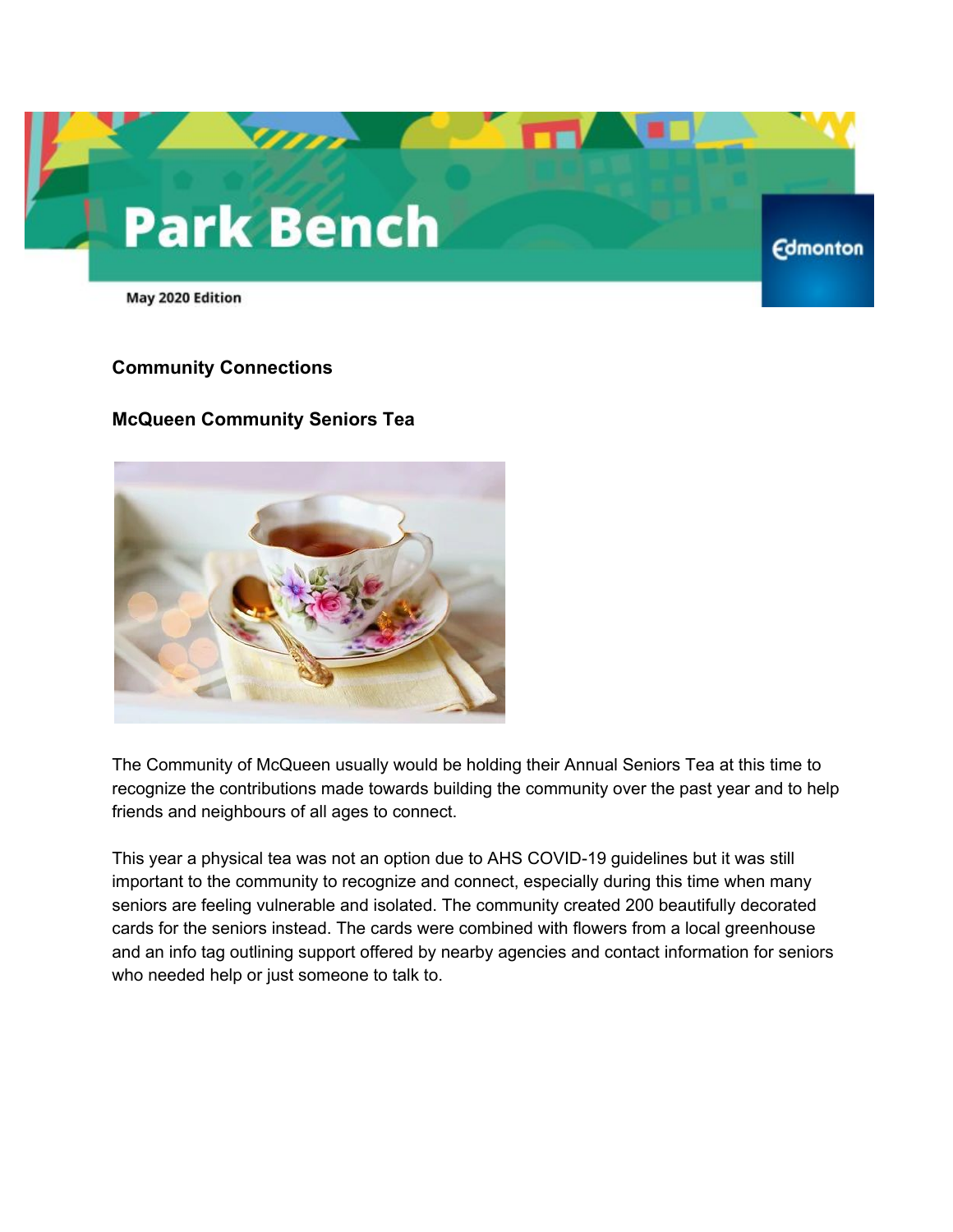# **Park Bench**

May 2020 Edition

#### **Community Connections**

## **McQueen Community Seniors Tea**



The Community of McQueen usually would be holding their Annual Seniors Tea at this time to recognize the contributions made towards building the community over the past year and to help friends and neighbours of all ages to connect.

**Edmonton** 

This year a physical tea was not an option due to AHS COVID-19 guidelines but it was still important to the community to recognize and connect, especially during this time when many seniors are feeling vulnerable and isolated. The community created 200 beautifully decorated cards for the seniors instead. The cards were combined with flowers from a local greenhouse and an info tag outlining support offered by nearby agencies and contact information for seniors who needed help or just someone to talk to.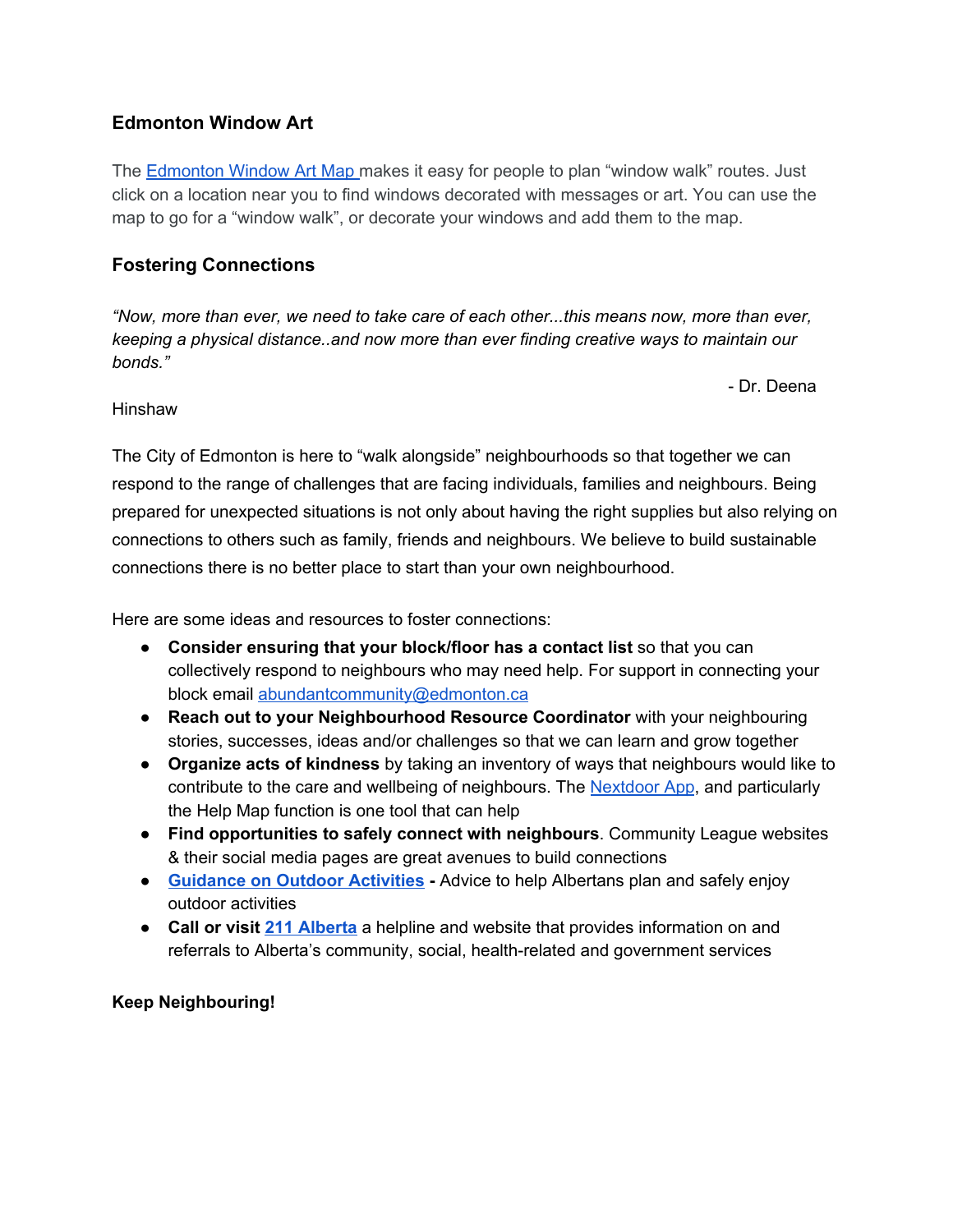## **Edmonton Window Art**

The **[Edmonton](https://jkparker.maps.arcgis.com/apps/CrowdsourceReporter/index.html?appid=5d9543ddad3c4f3cbca976bdfa2d012b&fbclid=IwAR1qFfnZfvuNLUBUmtL9R_jMdwUDRUd9_VLsX8CKIi5Kjnk9saVmpNIGVgM&webmap=571f67ded02549269b58cddf4068ec67&layer=Window_Art_9560&utm_source=Cyberimpact&utm_medium=email&utm_campaign=Community-Development-Special-Edition) Window Art Map makes it easy for people to plan "window walk" routes. Just** click on a location near you to find windows decorated with messages or art. You can use the map to go for a "window walk", or decorate your windows and add them to the map.

## **Fostering Connections**

*"Now, more than ever, we need to take care of each other...this means now, more than ever, keeping a physical distance..and now more than ever finding creative ways to maintain our bonds."*

- Dr. Deena

#### Hinshaw

The City of Edmonton is here to "walk alongside" neighbourhoods so that together we can respond to the range of challenges that are facing individuals, families and neighbours. Being prepared for unexpected situations is not only about having the right supplies but also relying on connections to others such as family, friends and neighbours. We believe to build sustainable connections there is no better place to start than your own neighbourhood.

Here are some ideas and resources to foster connections:

- **Consider ensuring that your block/floor has a contact list** so that you can collectively respond to neighbours who may need help. For support in connecting your block email [abundantcommunity@edmonton.ca](mailto:abundantcommunity@edmonton.ca)
- **Reach out to your Neighbourhood Resource Coordinator** with your neighbouring stories, successes, ideas and/or challenges so that we can learn and grow together
- **Organize acts of kindness** by taking an inventory of ways that neighbours would like to contribute to the care and wellbeing of neighbours. The **[Nextdoor](https://ca.nextdoor.com/) App**, and particularly the Help Map function is one tool that can help
- **Find opportunities to safely connect with neighbours**. Community League websites & their social media pages are great avenues to build connections
- **[Guidance](https://www.alberta.ca/guidance-on-outdoor-activities.aspx) on Outdoor Activities -** Advice to help Albertans plan and safely enjoy outdoor activities
- **Call or visit 211 [Alberta](https://www.ab.211.ca/)** a helpline and website that provides information on and referrals to Alberta's community, social, health-related and government services

## **Keep Neighbouring!**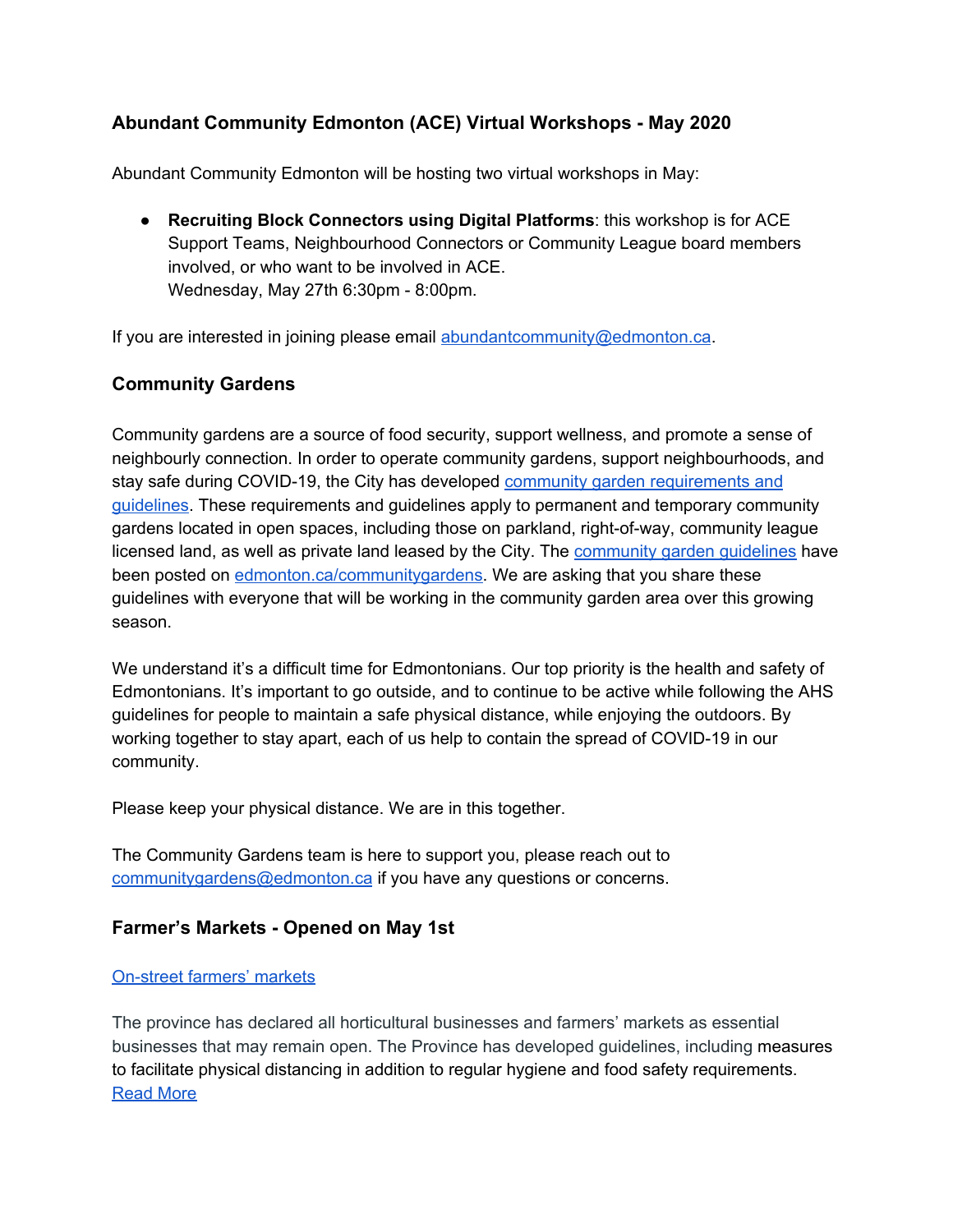# **Abundant Community Edmonton (ACE) Virtual Workshops - May 2020**

Abundant Community Edmonton will be hosting two virtual workshops in May:

● **Recruiting Block Connectors using Digital Platforms**: this workshop is for ACE Support Teams, Neighbourhood Connectors or Community League board members involved, or who want to be involved in ACE. Wednesday, May 27th 6:30pm - 8:00pm.

If you are interested in joining please email [abundantcommunity@edmonton.ca](mailto:abundantcommunity@edmonton.ca).

## **Community Gardens**

Community gardens are a source of food security, support wellness, and promote a sense of neighbourly connection. In order to operate community gardens, support neighbourhoods, and stay safe during COVID-19, the City has developed community garden [requirements](https://www.edmonton.ca/residential_neighbourhoods/gardens_lawns_trees/community-gardens.aspx) and [guidelines.](https://www.edmonton.ca/residential_neighbourhoods/gardens_lawns_trees/community-gardens.aspx) These requirements and guidelines apply to permanent and temporary community gardens located in open spaces, including those on parkland, right-of-way, community league licensed land, as well as private land leased by the City. The [community](https://www.edmonton.ca/residential_neighbourhoods/gardens_lawns_trees/community-gardens.aspx) garden guidelines have been posted on [edmonton.ca/communitygardens](https://www.edmonton.ca/residential_neighbourhoods/gardens_lawns_trees/community-gardens.aspx). We are asking that you share these guidelines with everyone that will be working in the community garden area over this growing season.

We understand it's a difficult time for Edmontonians. Our top priority is the health and safety of Edmontonians. It's important to go outside, and to continue to be active while following the AHS guidelines for people to maintain a safe physical distance, while enjoying the outdoors. By working together to stay apart, each of us help to contain the spread of COVID-19 in our community.

Please keep your physical distance. We are in this together.

The Community Gardens team is here to support you, please reach out to [communitygardens@edmonton.ca](mailto:communitygardens@edmonton.ca) if you have any questions or concerns.

## **Farmer's Markets - Opened on May 1st**

## [On-street](https://exploreedmonton.com/articles/farmers-markets-in-edmonton) farmers' markets

The province has declared all horticultural businesses and farmers' markets as essential businesses that may remain open. The Province has developed guidelines, including measures to facilitate physical distancing in addition to regular hygiene and food safety requirements. [Read](https://www.alberta.ca/alberta-approved-farmers-markets.aspx) More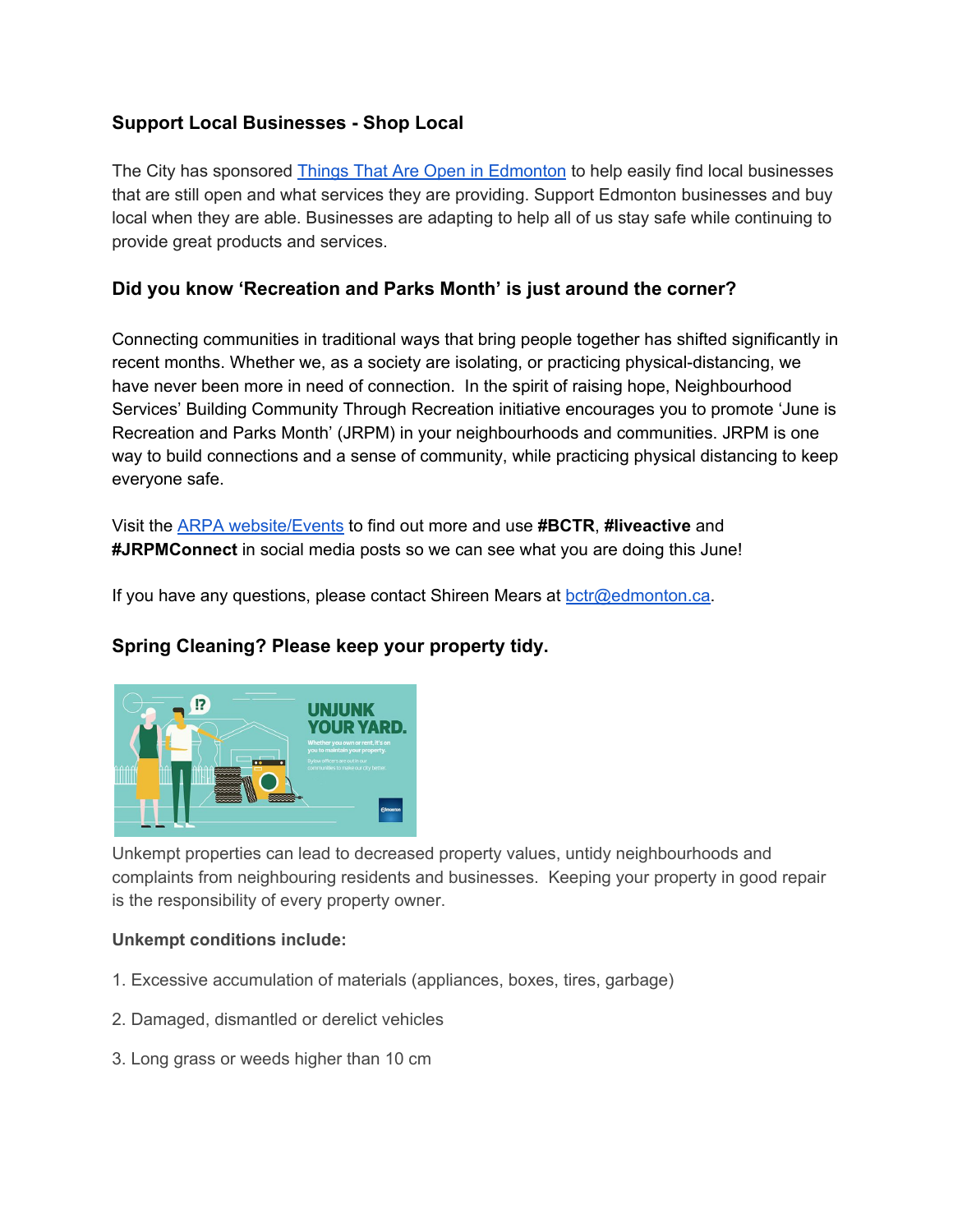## **Support Local Businesses - Shop Local**

The City has sponsore[d](https://edmonton.thingsthatareopen.com/) **Things That Are Open in [Edmonton](https://edmonton.thingsthatareopen.com/)** to help easily find local businesses that are still open and what services they are providing. Support Edmonton businesses and buy local when they are able. Businesses are adapting to help all of us stay safe while continuing to provide great products and services.

# **Did you know 'Recreation and Parks Month' is just around the corner?**

Connecting communities in traditional ways that bring people together has shifted significantly in recent months. Whether we, as a society are isolating, or practicing physical-distancing, we have never been more in need of connection. In the spirit of raising hope, Neighbourhood Services' Building Community Through Recreation initiative encourages you to promote 'June is Recreation and Parks Month' (JRPM) in your neighbourhoods and communities. JRPM is one way to build connections and a sense of community, while practicing physical distancing to keep everyone safe.

Visit the ARPA [website/Events](https://arpaonline.ca/events/recreation-parks-month/) to find out more and use **#BCTR**, **#liveactive** and **#JRPMConnect** in social media posts so we can see what you are doing this June!

If you have any questions, please contact Shireen Mears at **bctr@edmonton.ca**.

## **Spring Cleaning? Please keep your property tidy.**



Unkempt properties can lead to decreased property values, untidy neighbourhoods and complaints from neighbouring residents and businesses. Keeping your property in good repair is the responsibility of every property owner.

## **Unkempt conditions include:**

- 1. Excessive accumulation of materials (appliances, boxes, tires, garbage)
- 2. Damaged, dismantled or derelict vehicles
- 3. Long grass or weeds higher than 10 cm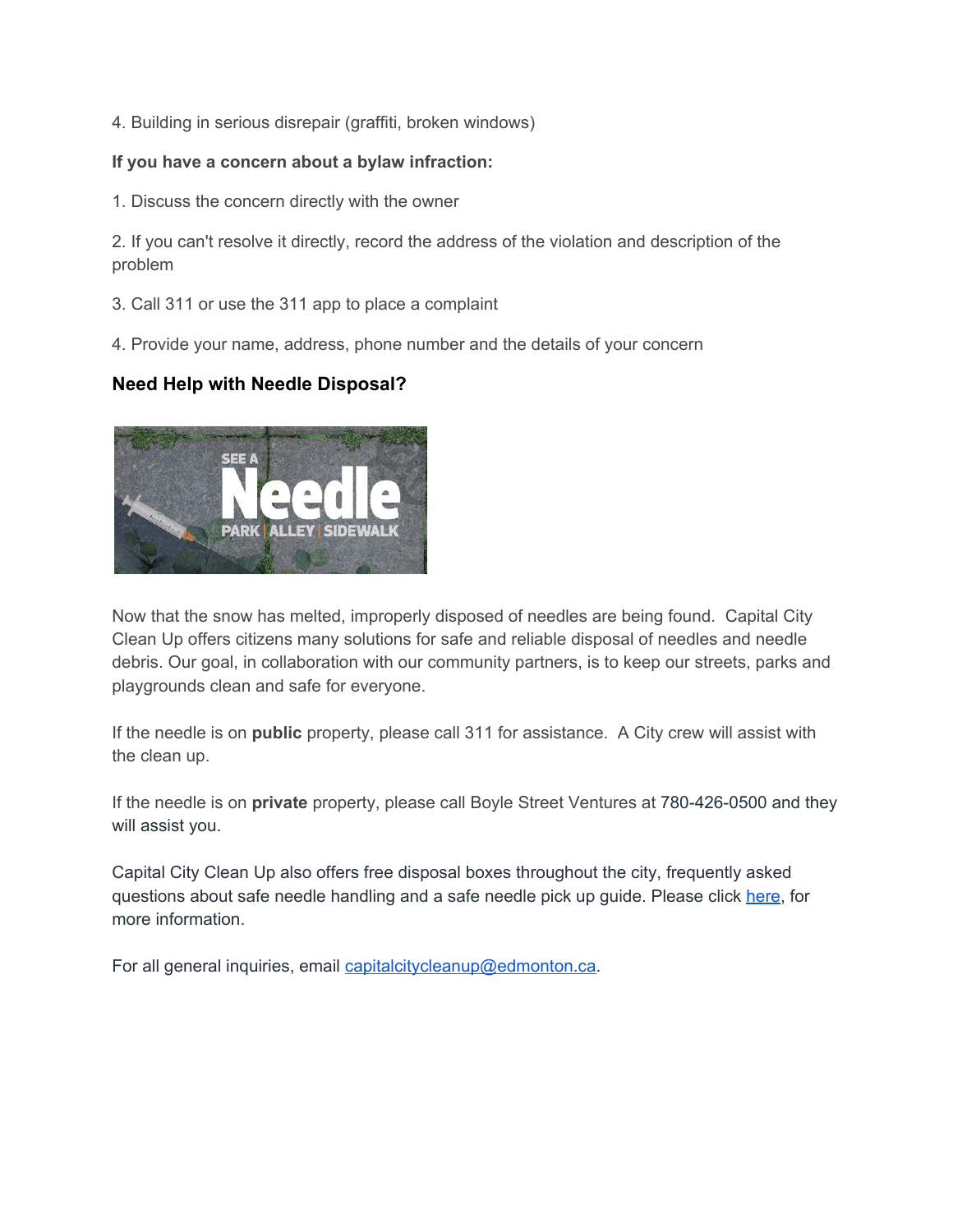4. Building in serious disrepair (graffiti, broken windows)

#### **If you have a concern about a bylaw infraction:**

1. Discuss the concern directly with the owner

2. If you can't resolve it directly, record the address of the violation and description of the problem

- 3. Call 311 or use the 311 app to place a complaint
- 4. Provide your name, address, phone number and the details of your concern

## **Need Help with Needle Disposal?**



Now that the snow has melted, improperly disposed of needles are being found. Capital City Clean Up offers citizens many solutions for safe and reliable disposal of needles and needle debris. Our goal, in collaboration with our community partners, is to keep our streets, parks and playgrounds clean and safe for everyone.

If the needle is on **public** property, please call 311 for assistance. A City crew will assist with the clean up.

If the needle is on **private** property, please call Boyle Street Ventures at 780-426-0500 and they will assist you.

Capital City Clean Up also offers free disposal boxes throughout the city, frequently asked questions about safe needle handling and a safe needle pick up guide. Please click [here,](https://www.edmonton.ca/programs_services/graffiti_litter/safe-needle-disposal.aspx) for more information.

For all general inquiries, email [capitalcitycleanup@edmonton.ca](mailto:capitalcitycleanup@edmonton.ca).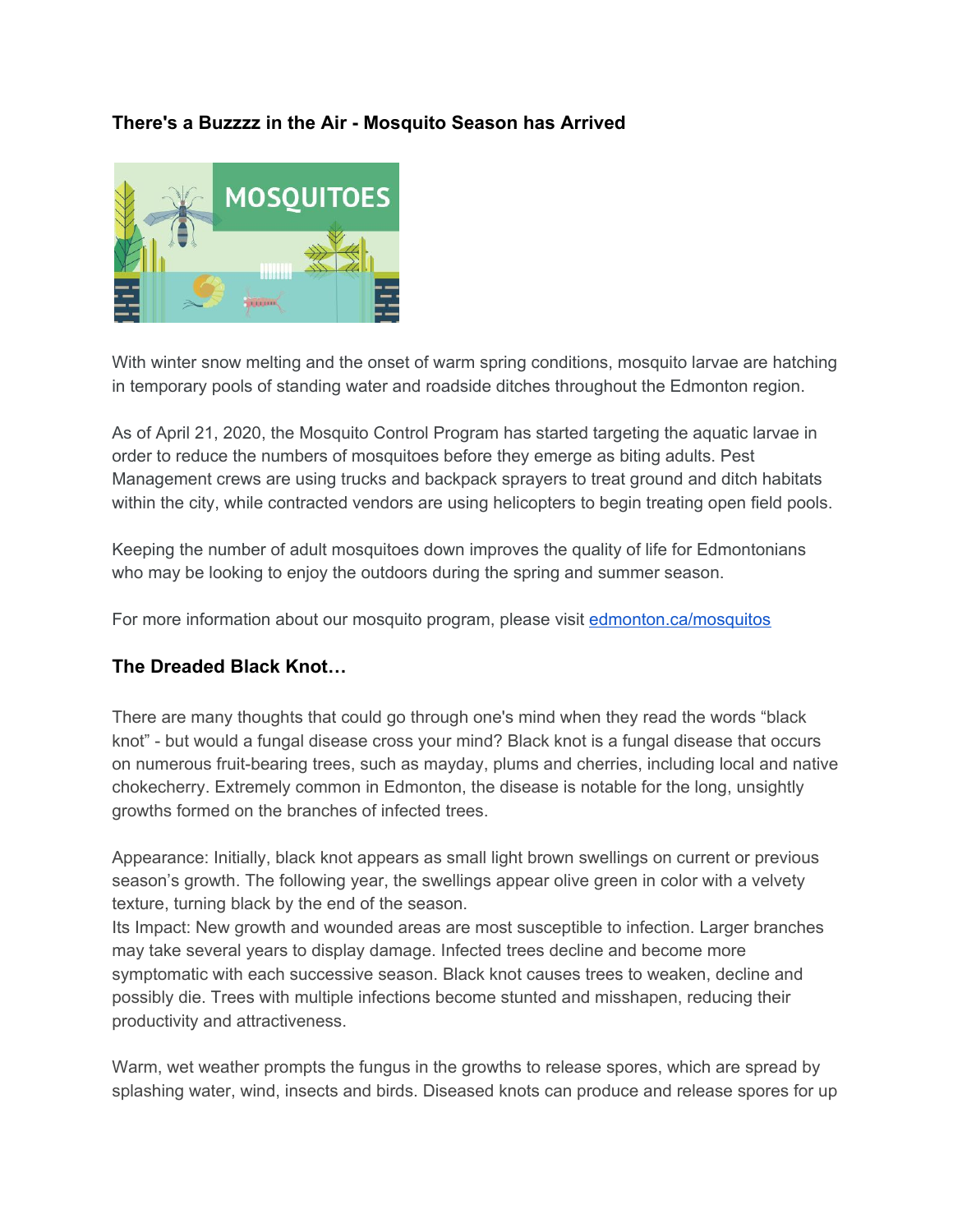## **There's a Buzzzz in the Air - Mosquito Season has Arrived**



With winter snow melting and the onset of warm spring conditions, mosquito larvae are hatching in temporary pools of standing water and roadside ditches throughout the Edmonton region.

As of April 21, 2020, the Mosquito Control Program has started targeting the aquatic larvae in order to reduce the numbers of mosquitoes before they emerge as biting adults. Pest Management crews are using trucks and backpack sprayers to treat ground and ditch habitats within the city, while contracted vendors are using helicopters to begin treating open field pools.

Keeping the number of adult mosquitoes down improves the quality of life for Edmontonians who may be looking to enjoy the outdoors during the spring and summer season.

For more information about our mosquito program, please visit [edmonton.ca/mosquitos](https://www.edmonton.ca/programs_services/pests/edmonton-mosquito-activity.aspx)

## **The Dreaded Black Knot…**

There are many thoughts that could go through one's mind when they read the words "black knot" - but would a fungal disease cross your mind? Black knot is a fungal disease that occurs on numerous fruit-bearing trees, such as mayday, plums and cherries, including local and native chokecherry. Extremely common in Edmonton, the disease is notable for the long, unsightly growths formed on the branches of infected trees.

Appearance: Initially, black knot appears as small light brown swellings on current or previous season's growth. The following year, the swellings appear olive green in color with a velvety texture, turning black by the end of the season.

Its Impact: New growth and wounded areas are most susceptible to infection. Larger branches may take several years to display damage. Infected trees decline and become more symptomatic with each successive season. Black knot causes trees to weaken, decline and possibly die. Trees with multiple infections become stunted and misshapen, reducing their productivity and attractiveness.

Warm, wet weather prompts the fungus in the growths to release spores, which are spread by splashing water, wind, insects and birds. Diseased knots can produce and release spores for up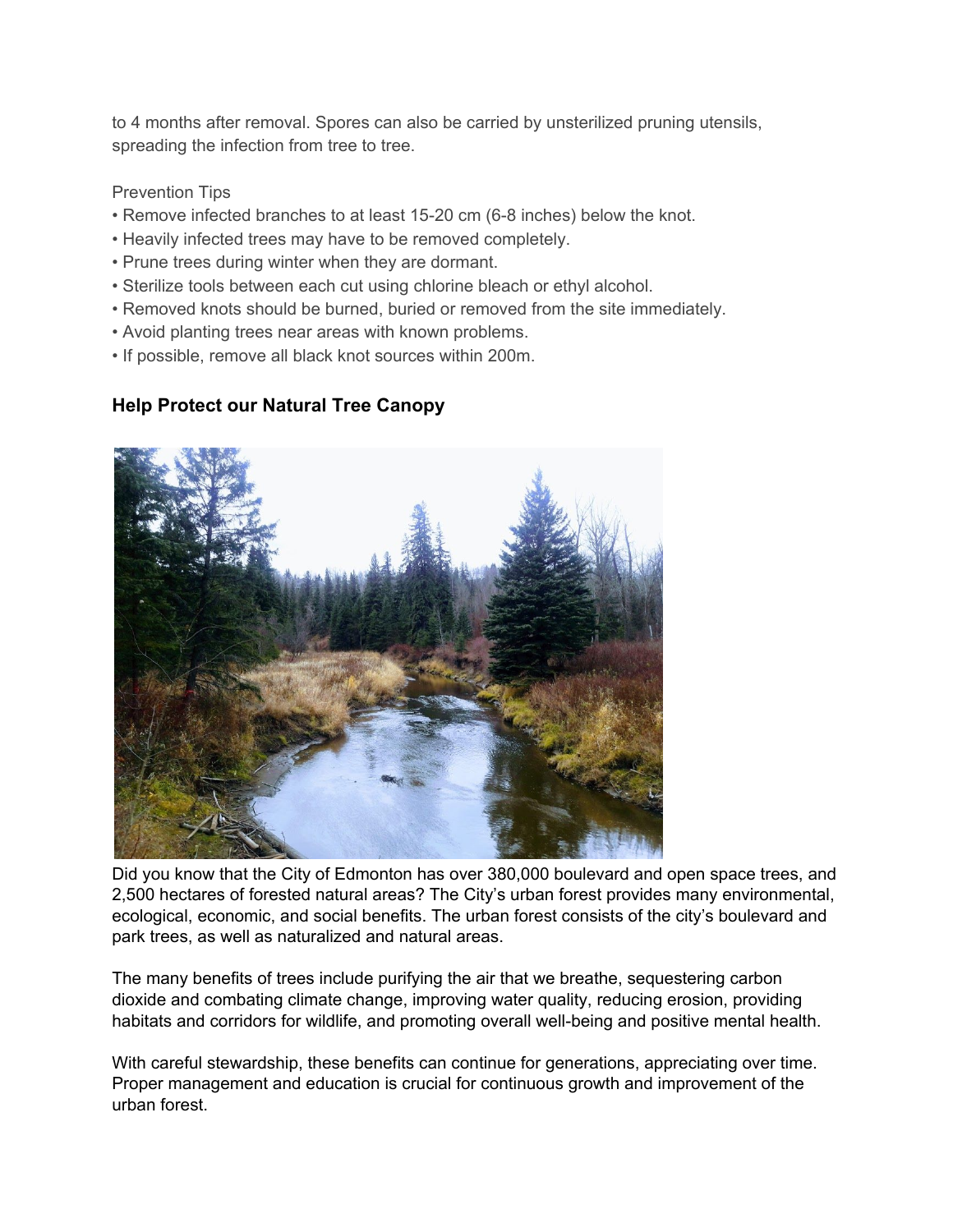to 4 months after removal. Spores can also be carried by unsterilized pruning utensils, spreading the infection from tree to tree.

#### Prevention Tips

- Remove infected branches to at least 15-20 cm (6-8 inches) below the knot.
- Heavily infected trees may have to be removed completely.
- Prune trees during winter when they are dormant.
- Sterilize tools between each cut using chlorine bleach or ethyl alcohol.
- Removed knots should be burned, buried or removed from the site immediately.
- Avoid planting trees near areas with known problems.
- If possible, remove all black knot sources within 200m.

# **Help Protect our Natural Tree Canopy**



Did you know that the City of Edmonton has over 380,000 boulevard and open space trees, and 2,500 hectares of forested natural areas? The City's urban forest provides many environmental, ecological, economic, and social benefits. The urban forest consists of the city's boulevard and park trees, as well as naturalized and natural areas.

The many benefits of trees include purifying the air that we breathe, sequestering carbon dioxide and combating climate change, improving water quality, reducing erosion, providing habitats and corridors for wildlife, and promoting overall well-being and positive mental health.

With careful stewardship, these benefits can continue for generations, appreciating over time. Proper management and education is crucial for continuous growth and improvement of the urban forest.